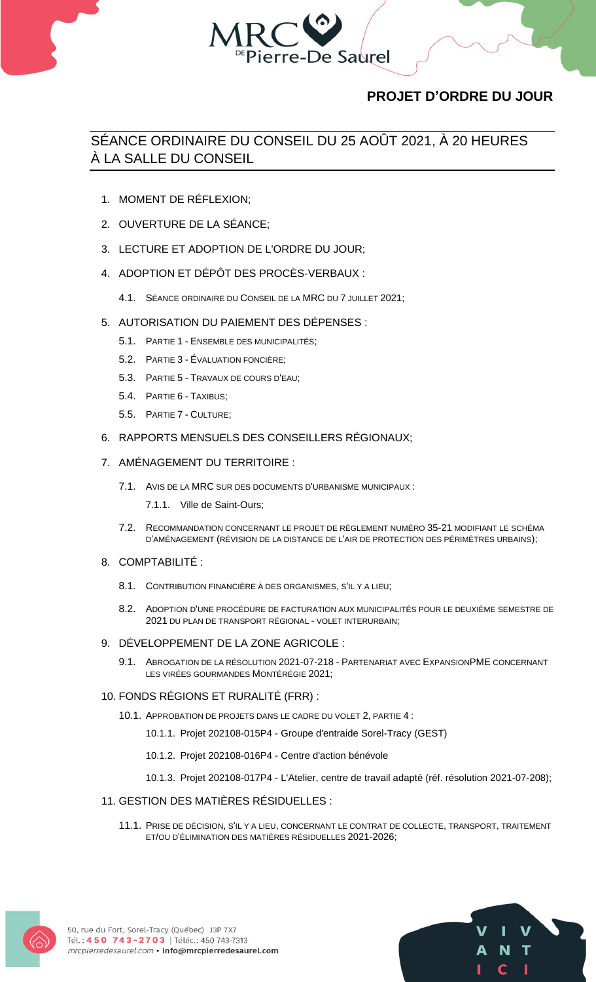

# **PROJET D'ORDRE DU JOUR**

## SÉANCE ORDINAIRE DU CONSEIL DU 25 AOÛT 2021, À 20 HEURES À LA SALLE DU CONSEIL

- 1. MOMENT DE RÉFLEXION;
- 2. OUVERTURE DE LA SÉANCE;
- 3. LECTURE ET ADOPTION DE L'ORDRE DU JOUR;
- 4. ADOPTION ET DÉPÔT DES PROCÈS-VERBAUX :
	- 4.1. SÉANCE ORDINAIRE DU CONSEIL DE LA MRC DU 7 JUILLET 2021;
- 5. AUTORISATION DU PAIEMENT DES DÉPENSES :
	- 5.1. PARTIE 1 ENSEMBLE DES MUNICIPALITÉS;
	- 5.2. PARTIE 3 ÉVALUATION FONCIÈRE;
	- 5.3. PARTIE 5 TRAVAUX DE COURS D'EAU;
	- 5.4. PARTIE 6 TAXIBUS;
	- 5.5. PARTIE 7 CULTURE;
- 6. RAPPORTS MENSUELS DES CONSEILLERS RÉGIONAUX;
- 7. AMÉNAGEMENT DU TERRITOIRE :
	- 7.1. AVIS DE LA MRC SUR DES DOCUMENTS D'URBANISME MUNICIPAUX :
		- 7.1.1. Ville de Saint-Ours;
	- 7.2. RECOMMANDATION CONCERNANT LE PROJET DE RÈGLEMENT NUMÉRO 35-21 MODIFIANT LE SCHÉMA D'AMÉNAGEMENT (RÉVISION DE LA DISTANCE DE L'AIR DE PROTECTION DES PÉRIMÈTRES URBAINS);

## 8. COMPTABILITÉ :

- 8.1. CONTRIBUTION FINANCIÈRE À DES ORGANISMES, S'IL Y A LIEU;
- 8.2. ADOPTION D'UNE PROCÉDURE DE FACTURATION AUX MUNICIPALITÉS POUR LE DEUXIÈME SEMESTRE DE 2021 DU PLAN DE TRANSPORT RÉGIONAL - VOLET INTERURBAIN;
- 9. DÉVELOPPEMENT DE LA ZONE AGRICOLE :
	- 9.1. ABROGATION DE LA RÉSOLUTION 2021-07-218 PARTENARIAT AVEC EXPANSIONPME CONCERNANT LES VIRÉES GOURMANDES MONTÉRÉGIE 2021;

## 10. FONDS RÉGIONS ET RURALITÉ (FRR) :

- 10.1. APPROBATION DE PROJETS DANS LE CADRE DU VOLET 2, PARTIE 4 :
	- 10.1.1. Projet 202108-015P4 Groupe d'entraide Sorel-Tracy (GEST)
	- 10.1.2. Projet 202108-016P4 Centre d'action bénévole
	- 10.1.3. Projet 202108-017P4 L'Atelier, centre de travail adapté (réf. résolution 2021-07-208);

## 11. GESTION DES MATIÈRES RÉSIDUELLES :

11.1. PRISE DE DÉCISION, S'IL Y A LIEU, CONCERNANT LE CONTRAT DE COLLECTE, TRANSPORT, TRAITEMENT ET/OU D'ÉLIMINATION DES MATIÈRES RÉSIDUELLES 2021-2026;